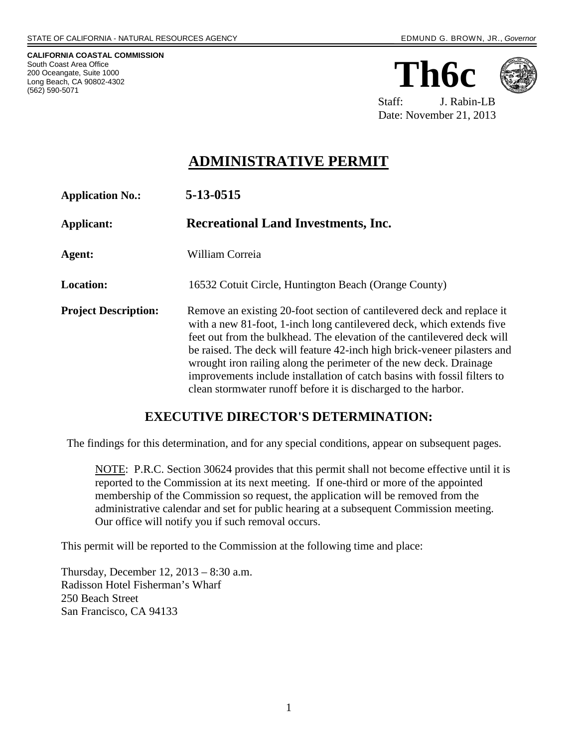**CALIFORNIA COASTAL COMMISSION** South Coast Area Office 200 Oceangate, Suite 1000 Long Beach, CA 90802-4302 (562) 590-5071

**Th6c**



 Staff: J. Rabin-LB Date: November 21, 2013

## **ADMINISTRATIVE PERMIT**

| <b>Application No.:</b>     | 5-13-0515                                                                                                                                                                                                                                                                                                                                                                                                                                                                                                                  |
|-----------------------------|----------------------------------------------------------------------------------------------------------------------------------------------------------------------------------------------------------------------------------------------------------------------------------------------------------------------------------------------------------------------------------------------------------------------------------------------------------------------------------------------------------------------------|
| Applicant:                  | <b>Recreational Land Investments, Inc.</b>                                                                                                                                                                                                                                                                                                                                                                                                                                                                                 |
| Agent:                      | William Correia                                                                                                                                                                                                                                                                                                                                                                                                                                                                                                            |
| <b>Location:</b>            | 16532 Cotuit Circle, Huntington Beach (Orange County)                                                                                                                                                                                                                                                                                                                                                                                                                                                                      |
| <b>Project Description:</b> | Remove an existing 20-foot section of cantilevered deck and replace it<br>with a new 81-foot, 1-inch long cantilevered deck, which extends five<br>feet out from the bulkhead. The elevation of the cantilevered deck will<br>be raised. The deck will feature 42-inch high brick-veneer pilasters and<br>wrought iron railing along the perimeter of the new deck. Drainage<br>improvements include installation of catch basins with fossil filters to<br>clean stormwater runoff before it is discharged to the harbor. |

#### **EXECUTIVE DIRECTOR'S DETERMINATION:**

The findings for this determination, and for any special conditions, appear on subsequent pages.

NOTE: P.R.C. Section 30624 provides that this permit shall not become effective until it is reported to the Commission at its next meeting. If one-third or more of the appointed membership of the Commission so request, the application will be removed from the administrative calendar and set for public hearing at a subsequent Commission meeting. Our office will notify you if such removal occurs.

This permit will be reported to the Commission at the following time and place:

Thursday, December 12, 2013 – 8:30 a.m. Radisson Hotel Fisherman's Wharf 250 Beach Street San Francisco, CA 94133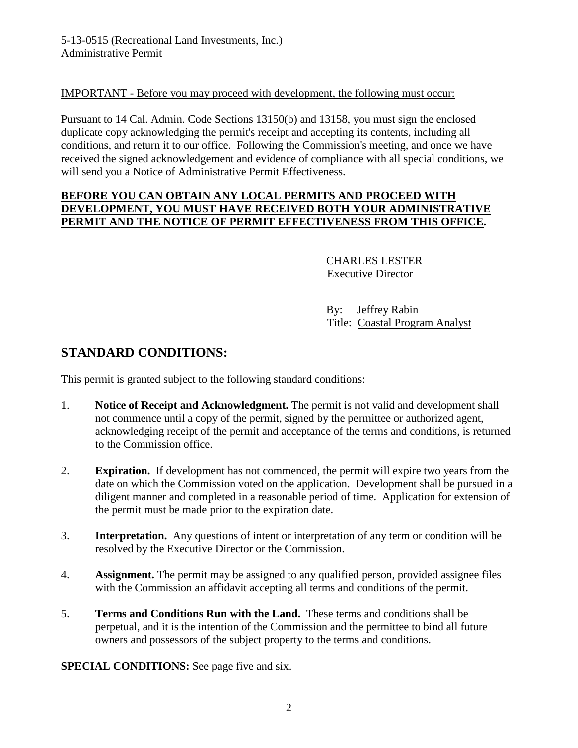#### IMPORTANT - Before you may proceed with development, the following must occur:

Pursuant to 14 Cal. Admin. Code Sections 13150(b) and 13158, you must sign the enclosed duplicate copy acknowledging the permit's receipt and accepting its contents, including all conditions, and return it to our office. Following the Commission's meeting, and once we have received the signed acknowledgement and evidence of compliance with all special conditions, we will send you a Notice of Administrative Permit Effectiveness.

#### **BEFORE YOU CAN OBTAIN ANY LOCAL PERMITS AND PROCEED WITH DEVELOPMENT, YOU MUST HAVE RECEIVED BOTH YOUR ADMINISTRATIVE PERMIT AND THE NOTICE OF PERMIT EFFECTIVENESS FROM THIS OFFICE.**

 CHARLES LESTER Executive Director

 By: Jeffrey Rabin Title: Coastal Program Analyst

## **STANDARD CONDITIONS:**

This permit is granted subject to the following standard conditions:

- 1. **Notice of Receipt and Acknowledgment.** The permit is not valid and development shall not commence until a copy of the permit, signed by the permittee or authorized agent, acknowledging receipt of the permit and acceptance of the terms and conditions, is returned to the Commission office.
- 2. **Expiration.** If development has not commenced, the permit will expire two years from the date on which the Commission voted on the application. Development shall be pursued in a diligent manner and completed in a reasonable period of time. Application for extension of the permit must be made prior to the expiration date.
- 3. **Interpretation.** Any questions of intent or interpretation of any term or condition will be resolved by the Executive Director or the Commission.
- 4. **Assignment.** The permit may be assigned to any qualified person, provided assignee files with the Commission an affidavit accepting all terms and conditions of the permit.
- 5. **Terms and Conditions Run with the Land.** These terms and conditions shall be perpetual, and it is the intention of the Commission and the permittee to bind all future owners and possessors of the subject property to the terms and conditions.

**SPECIAL CONDITIONS:** See page five and six.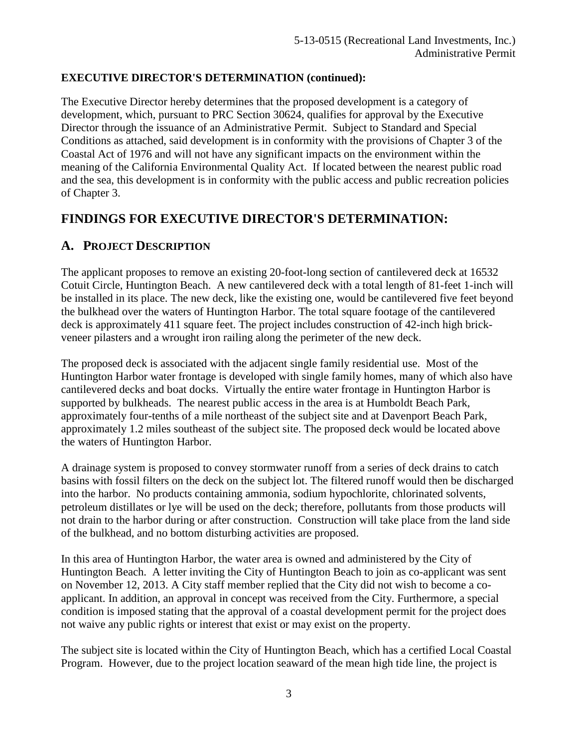#### **EXECUTIVE DIRECTOR'S DETERMINATION (continued):**

The Executive Director hereby determines that the proposed development is a category of development, which, pursuant to PRC Section 30624, qualifies for approval by the Executive Director through the issuance of an Administrative Permit. Subject to Standard and Special Conditions as attached, said development is in conformity with the provisions of Chapter 3 of the Coastal Act of 1976 and will not have any significant impacts on the environment within the meaning of the California Environmental Quality Act. If located between the nearest public road and the sea, this development is in conformity with the public access and public recreation policies of Chapter 3.

## **FINDINGS FOR EXECUTIVE DIRECTOR'S DETERMINATION:**

## **A. PROJECT DESCRIPTION**

The applicant proposes to remove an existing 20-foot-long section of cantilevered deck at 16532 Cotuit Circle, Huntington Beach. A new cantilevered deck with a total length of 81-feet 1-inch will be installed in its place. The new deck, like the existing one, would be cantilevered five feet beyond the bulkhead over the waters of Huntington Harbor. The total square footage of the cantilevered deck is approximately 411 square feet. The project includes construction of 42-inch high brickveneer pilasters and a wrought iron railing along the perimeter of the new deck.

The proposed deck is associated with the adjacent single family residential use. Most of the Huntington Harbor water frontage is developed with single family homes, many of which also have cantilevered decks and boat docks. Virtually the entire water frontage in Huntington Harbor is supported by bulkheads. The nearest public access in the area is at Humboldt Beach Park, approximately four-tenths of a mile northeast of the subject site and at Davenport Beach Park, approximately 1.2 miles southeast of the subject site. The proposed deck would be located above the waters of Huntington Harbor.

A drainage system is proposed to convey stormwater runoff from a series of deck drains to catch basins with fossil filters on the deck on the subject lot. The filtered runoff would then be discharged into the harbor. No products containing ammonia, sodium hypochlorite, chlorinated solvents, petroleum distillates or lye will be used on the deck; therefore, pollutants from those products will not drain to the harbor during or after construction. Construction will take place from the land side of the bulkhead, and no bottom disturbing activities are proposed.

In this area of Huntington Harbor, the water area is owned and administered by the City of Huntington Beach. A letter inviting the City of Huntington Beach to join as co-applicant was sent on November 12, 2013. A City staff member replied that the City did not wish to become a coapplicant. In addition, an approval in concept was received from the City. Furthermore, a special condition is imposed stating that the approval of a coastal development permit for the project does not waive any public rights or interest that exist or may exist on the property.

The subject site is located within the City of Huntington Beach, which has a certified Local Coastal Program. However, due to the project location seaward of the mean high tide line, the project is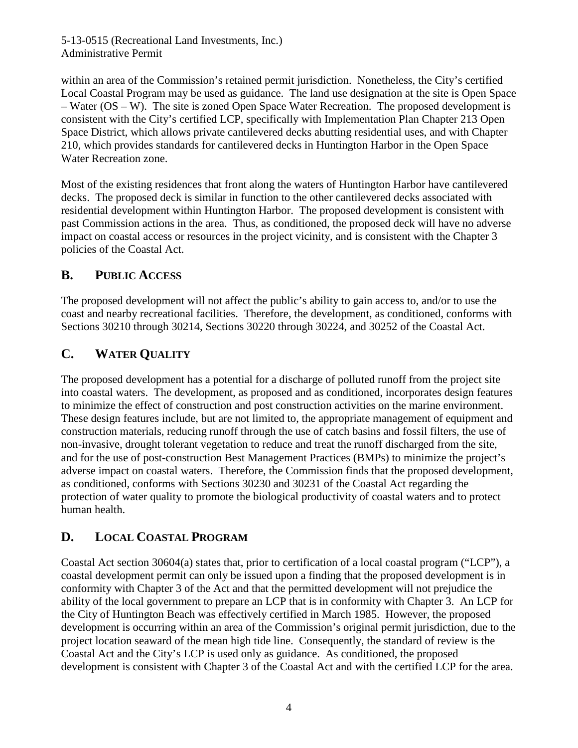5-13-0515 (Recreational Land Investments, Inc.) Administrative Permit

within an area of the Commission's retained permit jurisdiction. Nonetheless, the City's certified Local Coastal Program may be used as guidance. The land use designation at the site is Open Space – Water (OS – W). The site is zoned Open Space Water Recreation. The proposed development is consistent with the City's certified LCP, specifically with Implementation Plan Chapter 213 Open Space District, which allows private cantilevered decks abutting residential uses, and with Chapter 210, which provides standards for cantilevered decks in Huntington Harbor in the Open Space Water Recreation zone.

Most of the existing residences that front along the waters of Huntington Harbor have cantilevered decks. The proposed deck is similar in function to the other cantilevered decks associated with residential development within Huntington Harbor. The proposed development is consistent with past Commission actions in the area. Thus, as conditioned, the proposed deck will have no adverse impact on coastal access or resources in the project vicinity, and is consistent with the Chapter 3 policies of the Coastal Act.

#### **B. PUBLIC ACCESS**

The proposed development will not affect the public's ability to gain access to, and/or to use the coast and nearby recreational facilities. Therefore, the development, as conditioned, conforms with Sections 30210 through 30214, Sections 30220 through 30224, and 30252 of the Coastal Act.

## **C. WATER QUALITY**

The proposed development has a potential for a discharge of polluted runoff from the project site into coastal waters. The development, as proposed and as conditioned, incorporates design features to minimize the effect of construction and post construction activities on the marine environment. These design features include, but are not limited to, the appropriate management of equipment and construction materials, reducing runoff through the use of catch basins and fossil filters, the use of non-invasive, drought tolerant vegetation to reduce and treat the runoff discharged from the site, and for the use of post-construction Best Management Practices (BMPs) to minimize the project's adverse impact on coastal waters. Therefore, the Commission finds that the proposed development, as conditioned, conforms with Sections 30230 and 30231 of the Coastal Act regarding the protection of water quality to promote the biological productivity of coastal waters and to protect human health.

## **D. LOCAL COASTAL PROGRAM**

Coastal Act section 30604(a) states that, prior to certification of a local coastal program ("LCP"), a coastal development permit can only be issued upon a finding that the proposed development is in conformity with Chapter 3 of the Act and that the permitted development will not prejudice the ability of the local government to prepare an LCP that is in conformity with Chapter 3. An LCP for the City of Huntington Beach was effectively certified in March 1985. However, the proposed development is occurring within an area of the Commission's original permit jurisdiction, due to the project location seaward of the mean high tide line. Consequently, the standard of review is the Coastal Act and the City's LCP is used only as guidance. As conditioned, the proposed development is consistent with Chapter 3 of the Coastal Act and with the certified LCP for the area.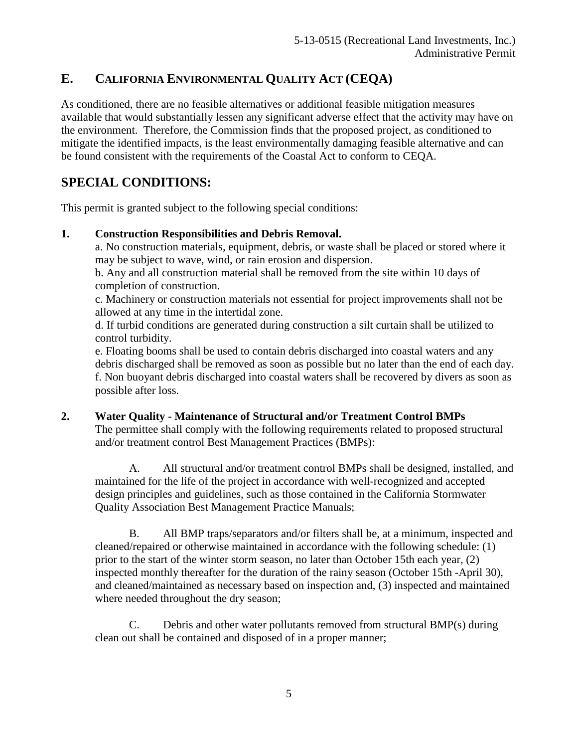## **E. CALIFORNIA ENVIRONMENTAL QUALITY ACT (CEQA)**

As conditioned, there are no feasible alternatives or additional feasible mitigation measures available that would substantially lessen any significant adverse effect that the activity may have on the environment. Therefore, the Commission finds that the proposed project, as conditioned to mitigate the identified impacts, is the least environmentally damaging feasible alternative and can be found consistent with the requirements of the Coastal Act to conform to CEQA.

## **SPECIAL CONDITIONS:**

This permit is granted subject to the following special conditions:

#### **1. Construction Responsibilities and Debris Removal.**

a. No construction materials, equipment, debris, or waste shall be placed or stored where it may be subject to wave, wind, or rain erosion and dispersion.

b. Any and all construction material shall be removed from the site within 10 days of completion of construction.

c. Machinery or construction materials not essential for project improvements shall not be allowed at any time in the intertidal zone.

d. If turbid conditions are generated during construction a silt curtain shall be utilized to control turbidity.

e. Floating booms shall be used to contain debris discharged into coastal waters and any debris discharged shall be removed as soon as possible but no later than the end of each day. f. Non buoyant debris discharged into coastal waters shall be recovered by divers as soon as possible after loss.

**2. Water Quality - Maintenance of Structural and/or Treatment Control BMPs** The permittee shall comply with the following requirements related to proposed structural and/or treatment control Best Management Practices (BMPs):

A. All structural and/or treatment control BMPs shall be designed, installed, and maintained for the life of the project in accordance with well-recognized and accepted design principles and guidelines, such as those contained in the California Stormwater Quality Association Best Management Practice Manuals;

B. All BMP traps/separators and/or filters shall be, at a minimum, inspected and cleaned/repaired or otherwise maintained in accordance with the following schedule: (1) prior to the start of the winter storm season, no later than October 15th each year, (2) inspected monthly thereafter for the duration of the rainy season (October 15th -April 30), and cleaned/maintained as necessary based on inspection and, (3) inspected and maintained where needed throughout the dry season;

C. Debris and other water pollutants removed from structural BMP(s) during clean out shall be contained and disposed of in a proper manner;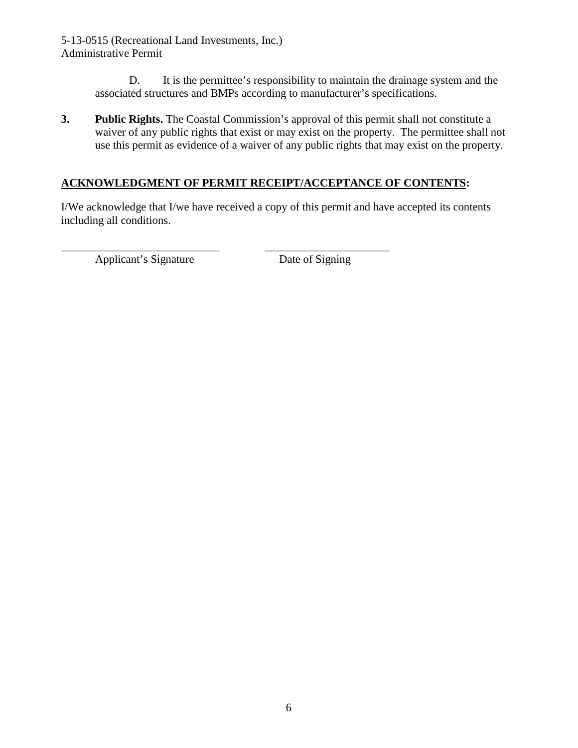5-13-0515 (Recreational Land Investments, Inc.) Administrative Permit

> D. It is the permittee's responsibility to maintain the drainage system and the associated structures and BMPs according to manufacturer's specifications.

**3. Public Rights.** The Coastal Commission's approval of this permit shall not constitute a waiver of any public rights that exist or may exist on the property. The permittee shall not use this permit as evidence of a waiver of any public rights that may exist on the property.

#### **ACKNOWLEDGMENT OF PERMIT RECEIPT/ACCEPTANCE OF CONTENTS:**

I/We acknowledge that I/we have received a copy of this permit and have accepted its contents including all conditions.

\_\_\_\_\_\_\_\_\_\_\_\_\_\_\_\_\_\_\_\_\_\_\_\_\_\_\_\_ \_\_\_\_\_\_\_\_\_\_\_\_\_\_\_\_\_\_\_\_\_\_ Applicant's Signature Date of Signing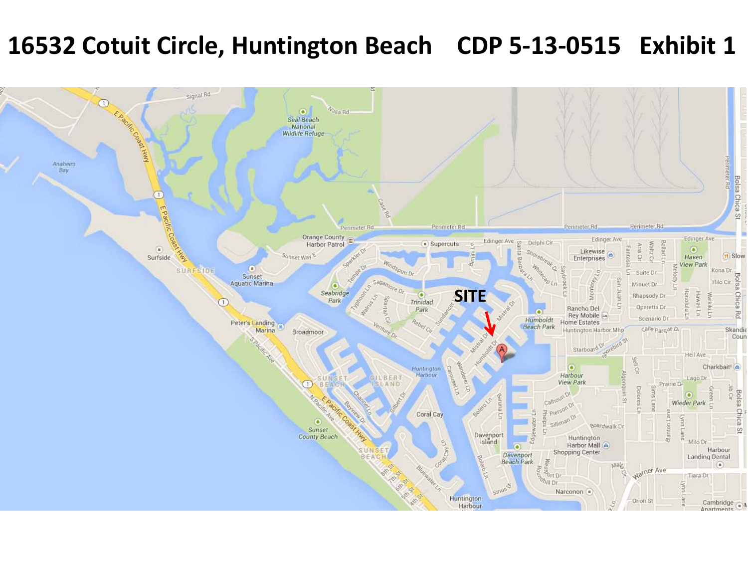# **16532 Cotuit Circle, Huntington Beach CDP 5-13-0515 Exhibit 1**

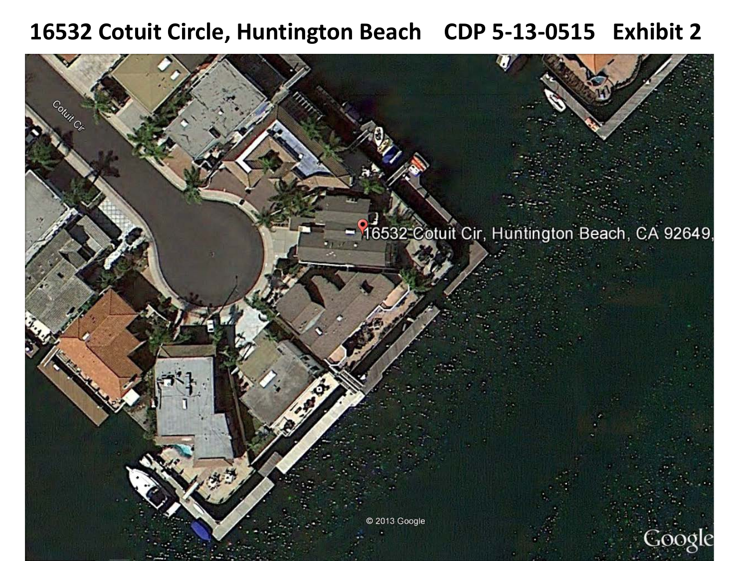## **16532 Cotuit Circle, Huntington Beach CDP 5-13-0515 Exhibit 2**